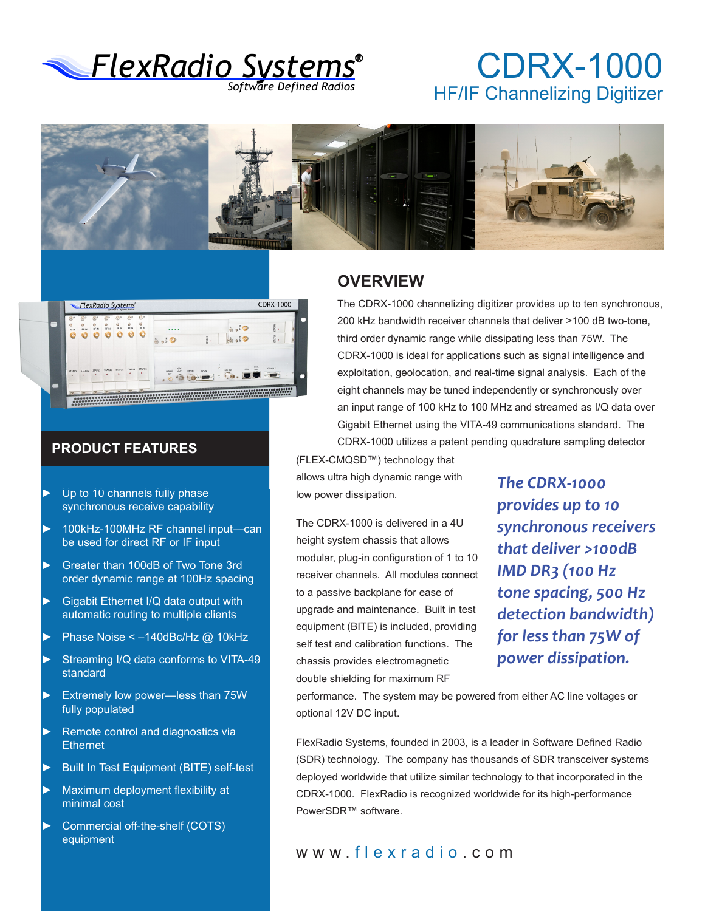

## CDRX-1000 HF/IF Channelizing Digitizer





#### **PRODUCT FEATURES**

- Up to 10 channels fully phase synchronous receive capability
- ► 100kHz-100MHz RF channel input—can be used for direct RF or IF input
- ► Greater than 100dB of Two Tone 3rd order dynamic range at 100Hz spacing
- ► Gigabit Ethernet I/Q data output with automatic routing to multiple clients
- ► Phase Noise < –140dBc/Hz @ 10kHz
- Streaming I/Q data conforms to VITA-49 standard
- ► Extremely low power—less than 75W fully populated
- ► Remote control and diagnostics via **Ethernet**
- Built In Test Equipment (BITE) self-test
- ► Maximum deployment flexibility at minimal cost
- ► Commercial off-the-shelf (COTS) equipment

#### **OVERVIEW**

The CDRX-1000 channelizing digitizer provides up to ten synchronous, 200 kHz bandwidth receiver channels that deliver >100 dB two-tone, third order dynamic range while dissipating less than 75W. The CDRX-1000 is ideal for applications such as signal intelligence and exploitation, geolocation, and real-time signal analysis. Each of the eight channels may be tuned independently or synchronously over an input range of 100 kHz to 100 MHz and streamed as I/Q data over Gigabit Ethernet using the VITA-49 communications standard. The CDRX-1000 utilizes a patent pending quadrature sampling detector

(FLEX-CMQSD™) technology that allows ultra high dynamic range with low power dissipation.

The CDRX-1000 is delivered in a 4U height system chassis that allows modular, plug-in configuration of 1 to 10 receiver channels. All modules connect to a passive backplane for ease of upgrade and maintenance. Built in test equipment (BITE) is included, providing self test and calibration functions. The chassis provides electromagnetic double shielding for maximum RF

*The CDRX-1000 provides up to 10 synchronous receivers that deliver >100dB IMD DR3 (100 Hz tone spacing, 500 Hz detection bandwidth) for less than 75W of power dissipation.* 

performance. The system may be powered from either AC line voltages or optional 12V DC input.

FlexRadio Systems, founded in 2003, is a leader in Software Defined Radio (SDR) technology. The company has thousands of SDR transceiver systems deployed worldwide that utilize similar technology to that incorporated in the CDRX-1000. FlexRadio is recognized worldwide for its high-performance PowerSDR™ software.

#### www. flexradio .com